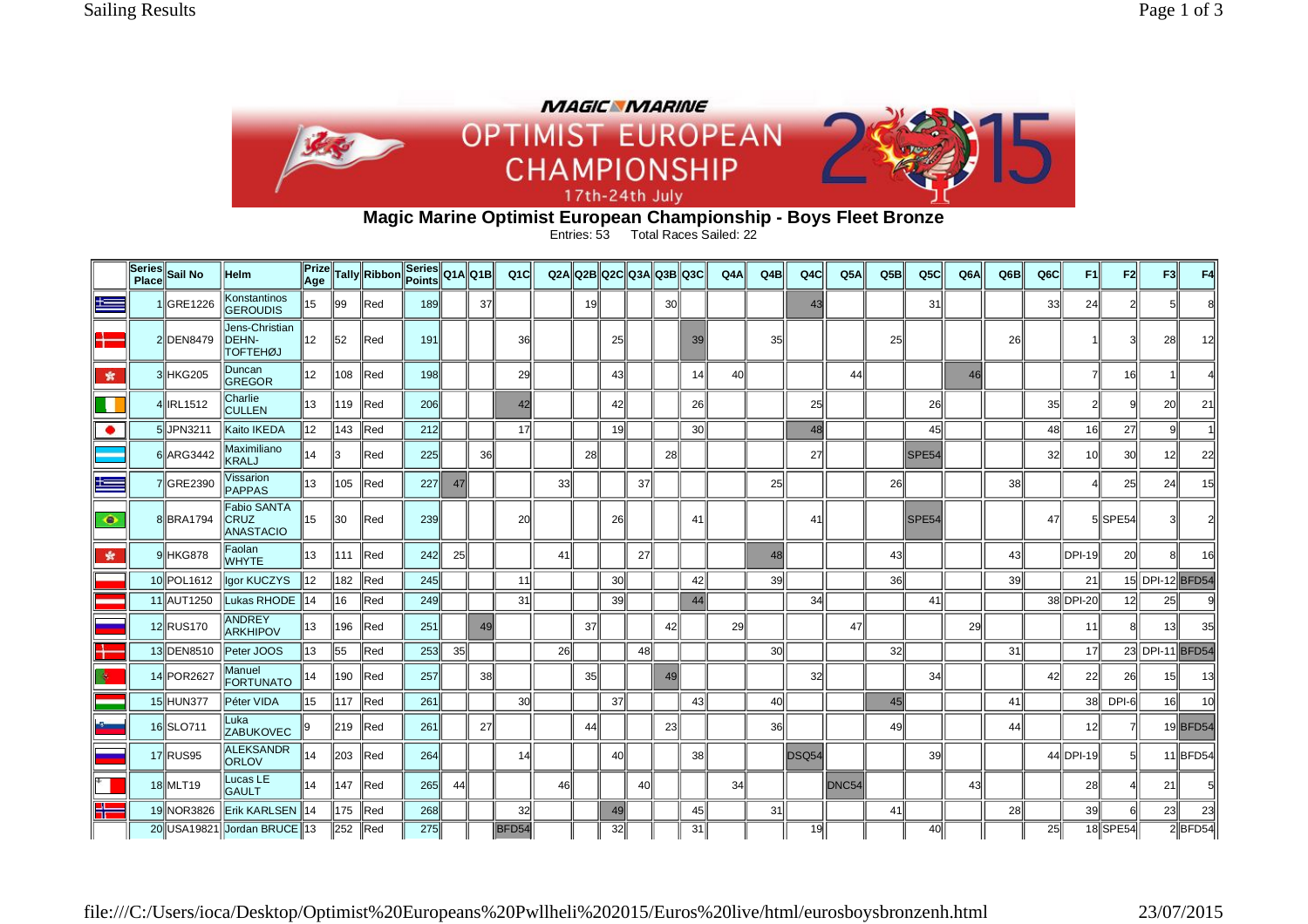

## **Magic Marine Optimist European Championship - Boys Fleet Bronze** Entries: 53 Total Races Sailed: 22

|                          | Series<br>Place Sail No | <b>Helm</b>                                | Prize<br>Age |     | Tally Ribbon | Series<br>Points |    | Q1AQ1B    | Q <sub>1</sub> C |    |           |                 | Q2A Q2B Q2C Q3A Q3B Q3C |                 |                 | Q4A | Q4B | Q <sub>4</sub> C | Q5A   | Q5B             | Q <sub>5</sub> C | Q <sub>6</sub> A | Q6B             | Q <sub>6</sub> C | F1             | F2        | F <sub>3</sub>  | F4        |
|--------------------------|-------------------------|--------------------------------------------|--------------|-----|--------------|------------------|----|-----------|------------------|----|-----------|-----------------|-------------------------|-----------------|-----------------|-----|-----|------------------|-------|-----------------|------------------|------------------|-----------------|------------------|----------------|-----------|-----------------|-----------|
| æ                        | GRE1226                 | Konstantinos<br><b>GEROUDIS</b>            | 15           | 99  | Red          | 189              |    | 37        |                  |    | 19I       |                 |                         | 30 <sup>2</sup> |                 |     |     | 43               |       |                 | 31               |                  |                 | 33               | 24             |           |                 |           |
| <b>DESCRIPTION</b><br>┲  | 2 DEN8479               | Jens-Christian<br>DEHN-<br><b>TOFTEHØJ</b> | 12           | 52  | Red          | 191              |    |           | 36               |    |           | 25              |                         |                 | 39              |     | 35  |                  |       | 25              |                  |                  | 26              |                  |                |           | 28l             |           |
| 索                        | 3 HKG205                | Duncan<br>GREGOR                           | 12           | 108 | $\ $ Red     | 198              |    |           | 29               |    |           | 431             |                         |                 | 14              | 40  |     |                  | 44    |                 |                  | 46               |                 |                  |                | 16        |                 |           |
| ш                        | IRL1512                 | Charlie<br><b>CULLEN</b>                   | 13           | 119 | Red          | 206              |    |           | 42               |    |           | 42l             |                         |                 | 26              |     |     | 25               |       |                 | 26               |                  |                 | 35               | $\overline{2}$ |           | 20 <sub>l</sub> | 21        |
| $\bullet$                | 5JPN3211                | Kaito IKEDA                                | 12           | 143 | Red          | 212              |    |           | 17               |    |           | 19 <sup>l</sup> |                         |                 | 30 <sup>1</sup> |     |     | $\overline{48}$  |       |                 | 45               |                  |                 | 48               | 16             | 27        |                 |           |
|                          | 6 ARG3442               | Maximiliano<br>KRALJ                       | 14           | 13  | Red          | 225              |    | 36        |                  |    | <b>28</b> |                 |                         | 28              |                 |     |     | 27               |       |                 | SPE54            |                  |                 | 32               | 10l            | <b>30</b> | 12 <sup>1</sup> | 22        |
| $\equiv$                 | 7 GRE2390               | √issarion<br><b>PAPPAS</b>                 | 13           | 105 | Red          | 227              | 47 |           |                  | 33 |           |                 | 37                      |                 |                 |     | 25  |                  |       | 26              |                  |                  | $38$            |                  | Δ              | 25        | 24              | 15        |
| ۰                        | 8 BRA1794               | <b>Fabio SANTA</b><br>CRUZ<br>ANASTACIO    | 15           | 30  | Red          | 239              |    |           | 20               |    |           | <b>26</b>       |                         |                 | 41              |     |     | 41               |       |                 | SPE54            |                  |                 | 47               |                | 5SPE54    |                 |           |
| 女                        | 9 HKG878                | Faolan<br><b>WHYTE</b>                     | 13           | 111 | $\ $ Red     | 242              | 25 |           |                  | 41 |           |                 | 27                      |                 |                 |     | 48  |                  |       | 43              |                  |                  | 43              |                  | DPI-19         | <b>20</b> |                 |           |
|                          | 10 POL1612              | Igor KUCZYS                                | 12           | 182 | $\ $ Red     | 245              |    |           | 11               |    |           | 30 <sup>l</sup> |                         |                 | 42              |     | 39  |                  |       | 36              |                  |                  | 39 <sub>1</sub> |                  | 21             |           | 15 DPI-12 BFD54 |           |
|                          | 11 AUT1250              | Lukas RHODE                                | 14           | 16  | Red          | 249              |    |           | 31               |    |           | 39              |                         |                 | 44              |     |     | 34               |       |                 | 41               |                  |                 |                  | 38 DPI-20      | 12        | 25              |           |
|                          | 12 RUS170               | <b>ANDREY</b><br><b>ARKHIPOV</b>           | 13           | 196 | Red          | 251              |    | 49        |                  |    | 37        |                 |                         | 42              |                 | 29  |     |                  | 47    |                 |                  | 29               |                 |                  | 11             |           | 13 <sup>1</sup> | 35        |
| ш                        | 13 DEN8510              | Peter JOOS                                 | 13           | 55  | Red          | 253              | 35 |           |                  | 26 |           |                 | 48                      |                 |                 |     | 30l |                  |       | 32 <sup>l</sup> |                  |                  | 31              |                  | 17             |           | 23 DPI-11 BFD54 |           |
|                          | 14 POR2627              | Manuel<br><b>FORTUNATO</b>                 | 14           | 190 | <b>Red</b>   | 257              |    | 38ll      |                  |    | 35II      |                 |                         | 49              |                 |     |     | 32               |       |                 | 34               |                  |                 | 42               | 22             | 26        | 15 <sup>1</sup> | 13        |
|                          | 15 HUN377               | Péter VIDA                                 | 15           | 117 | $\ $ Red     | 261              |    |           | 30               |    |           | 37              |                         |                 | 43              |     | 40l |                  |       | 45              |                  |                  | 41              |                  | 38             | DPI-6     | 16 <sup>1</sup> | 10        |
| $\overline{\phantom{a}}$ | 16 SLO711               | Luka<br><b>ZABUKOVEC</b>                   | 19           | 219 | $\ $ Red     | 261              |    | <b>27</b> |                  |    | 44        |                 |                         | 23              |                 |     | 36  |                  |       | 49              |                  |                  | 44              |                  | 12             |           |                 | 19BFD54   |
|                          | 17 RUS95                | <b>ALEKSANDR</b><br><b>ORLOV</b>           | 14           | 203 | Red          | 264              |    |           | 14               |    |           | 40l             |                         |                 | 38              |     |     | DSQ54            |       |                 | 39               |                  |                 |                  | 44 DPI-19      | 51        |                 | 11BFD54   |
|                          | 18 MLT19                | Lucas LE<br><b>GAULT</b>                   | 14           | 147 | $\ $ Red     | 265              | 44 |           |                  | 46 |           |                 | 40                      |                 |                 | 34  |     |                  | DNC54 |                 |                  | 43               |                 |                  | 28             |           | 21              |           |
| ΞL<br>æ                  | 19 NOR3826              | Erik KARLSEN                               | 14           | 175 | $\ $ Red     | 268              |    |           | 32               |    |           | 49              |                         |                 | 45              |     | 31  |                  |       | 41              |                  |                  | 28              |                  | 39             | 6         | 23              | 23        |
|                          |                         | 20 USA19821 Jordan BRUCE 13                |              | 252 | $\ $ Red     | 275              |    |           | BFD54            |    |           | 32              |                         |                 | 31              |     |     | 19               |       |                 | 40               |                  |                 | 25               |                | 18SPE54   |                 | $2$ BFD54 |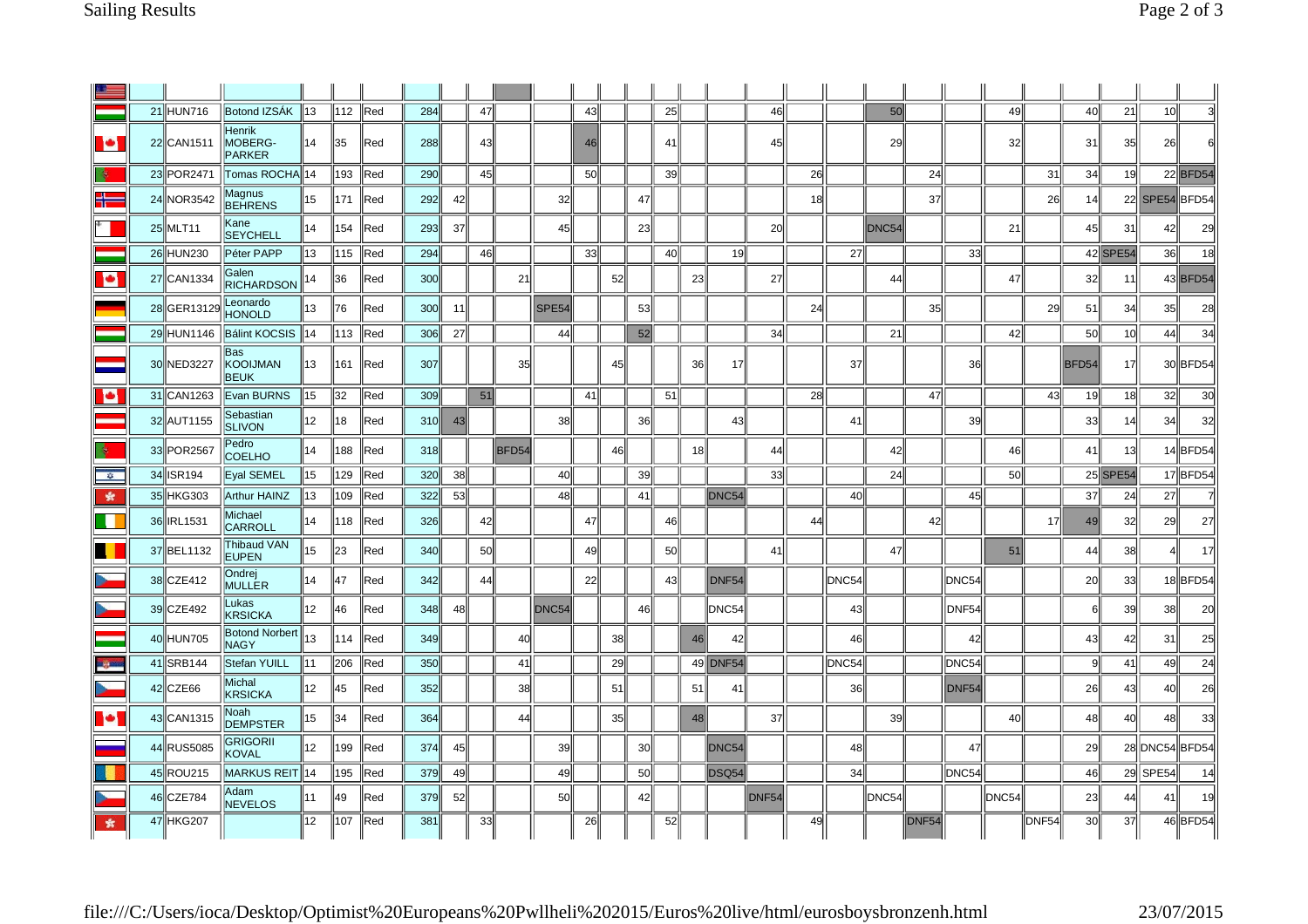|               | 21 HUN716   | Botond IZSÁK                          | $\parallel$ 13 | 112  | $\ $ Red        | 284 |                 | 47 |       |                   | 43 |            |    | 25              |    |                   | 46    |    |       | 50        |                   |                   | 49              |       | 40              | 21              | 10             |          |
|---------------|-------------|---------------------------------------|----------------|------|-----------------|-----|-----------------|----|-------|-------------------|----|------------|----|-----------------|----|-------------------|-------|----|-------|-----------|-------------------|-------------------|-----------------|-------|-----------------|-----------------|----------------|----------|
| <b>P</b>      | 22 CAN1511  | Henrik<br>MOBERG-<br><b>PARKER</b>    | 14             | ll35 | Red             | 288 |                 | 43 |       |                   | 46 |            |    | 41              |    |                   | 45    |    |       | <b>29</b> |                   |                   | 32 <sub>2</sub> |       | 31              | 35              | 26             | 61       |
| ÷             | 23 POR 2471 | Tomas ROCHA  14                       |                | 193  | llRed           | 290 |                 | 45 |       |                   | 50 |            |    | 39 <sup>1</sup> |    |                   |       | 26 |       |           | 24                |                   |                 | 31    | -34l            | 19              |                | 22 BFD54 |
| ╬═            | 24 NOR3542  | Magnus<br><b>BEHRENS</b>              | 15             | 171  | Red             | 292 | 42              |    |       | 32                |    |            | 47 |                 |    |                   |       | 18 |       |           | 37                |                   |                 | 26    | 14              |                 | 22 SPE54 BFD54 |          |
|               | 25 MLT11    | Kane<br><b>SEYCHELL</b>               | 14             | 154  | Red             | 293 | 37              |    |       | 45                |    |            | 23 |                 |    |                   | 20    |    |       | DNC54     |                   |                   | 21              |       | 45              | 31              | 42             | 29       |
|               | 26 HUN230   | Péter PAPP                            | 13             | 115  | $\parallel$ Red | 294 |                 | 46 |       |                   | 33 |            |    | 40              |    | 19                |       |    | 27    |           |                   | 33                |                 |       |                 | 42 SPE54        | 36             | 18       |
| <b>D</b>      | 27 CAN1334  | Galen<br><b>RICHARDSON</b>            | 14             | 136  | lRed            | 300 |                 |    | 21    |                   |    | 52         |    |                 | 23 |                   | 27    |    |       | 44        |                   |                   | 47              |       | 32              | 11              |                | 43 BFD54 |
|               | 28 GER13129 | Leonardo<br><b>HONOLD</b>             | 13             | 176  | Red             | 300 | 11              |    |       | SPE <sub>54</sub> |    |            | 53 |                 |    |                   |       | 24 |       |           | 35 <sub>1</sub>   |                   |                 | 29    | 51              | 34              | 35             | 28       |
|               | 29 HUN1146  | Bálint KOCSIS                         | $\parallel$ 14 | 113  | ∥Red            | 306 | 27              |    |       | 44                |    |            | 52 |                 |    |                   | 34    |    |       | 21        |                   |                   | 42              |       | 50              | 10 <sup>1</sup> | 44             | 34       |
|               | 30 NED3227  | Bas<br><b>KOOIJMAN</b><br><b>BEUK</b> | 13             | 161  | Red             | 307 |                 |    | 35    |                   |    | 45         |    |                 | 36 | 17                |       |    | 37    |           |                   | 36                |                 |       | BFD54           | 17              |                | 30 BFD54 |
| Þ             | 31 CAN1263  | Evan BURNS                            | 15             | 132  | Red             | 309 |                 | 51 |       |                   | 41 |            |    | 51              |    |                   |       | 28 |       |           | 47                |                   |                 | 43    | 19              | 18              | 32             | 30       |
|               | 32 AUT1155  | Sebastian<br><b>SLIVON</b>            | 12             | 18   | Red             | 310 | 43              |    |       | 38 <sup>1</sup>   |    |            | 36 |                 |    | 43                |       |    | 41    |           |                   | 39                |                 |       | 33              | 14              | 34             | 32       |
| ÷             | 33 POR2567  | Pedro<br><b>COELHO</b>                | 14             | 188  | Red             | 318 |                 |    | BFD54 |                   |    | 46I        |    |                 | 18 |                   | 44    |    |       | 42        |                   |                   | 46              |       | 41              | 13              |                | 14BFD54  |
| $-8.$         | 34 ISR194   | <b>Eyal SEMEL</b>                     | 15             | 129  | ∥Red            | 320 | 38 <sup>1</sup> |    |       | 40                |    |            | 39 |                 |    |                   | 33    |    |       | 24        |                   |                   | 50              |       |                 | 25 SPE54        |                | 17 BFD54 |
| $\star$       | 35 HKG303   | <b>Arthur HAINZ</b>                   | 13             | 109  | Red             | 322 | 53              |    |       | 48                |    |            | 41 |                 |    | DNC <sub>54</sub> |       |    | 40    |           |                   | 45                |                 |       | 37              | 24              | 27             |          |
| п             | 36 IRL1531  | Michael<br>CARROLL                    | 14             | 118  | $\ $ Red        | 326 |                 | 42 |       |                   | 47 |            |    | 46              |    |                   |       | 44 |       |           | 42                |                   |                 | 17    | 49              | 32              | 29             | 27       |
| ٠             | 37 BEL1132  | Thibaud VAN<br><b>EUPEN</b>           | 15             | 123  | Red             | 340 |                 | 50 |       |                   | 49 |            |    | 50              |    |                   | 41    |    |       | 47        |                   |                   | 51              |       | 44              | 38              |                | 17       |
|               | 38 CZE412   | Ondrej<br><b>MULLER</b>               | 14             | 147  | Red             | 342 |                 | 44 |       |                   | 22 |            |    | 43              |    | DNF54             |       |    | DNC54 |           |                   | DNC54             |                 |       | 20              | 33              |                | 18BFD54  |
|               | 39 CZE492   | Lukas<br><b>KRSICKA</b>               | 12             | 46   | Red             | 348 | 48              |    |       | DNC54             |    |            | 46 |                 |    | DNC54             |       |    | 43    |           |                   | DNF54             |                 |       | 6l              | 39              | <b>38</b>      | 20       |
|               | 40 HUN705   | <b>Botond Norbert</b><br><b>NAGY</b>  | 13             | 114  | ∥Red            | 349 |                 |    | 40    |                   |    | 38         |    |                 | 46 | 42                |       |    | 46    |           |                   | 42                |                 |       | 43              | 42              | 31             | 25       |
| $\frac{1}{2}$ | 41 SRB144   | <b>Stefan YUILL</b>                   | ll 11          | 1206 | ∥Red            | 350 |                 |    | 41    |                   |    | <b>29l</b> |    |                 |    | 49 DNF54          |       |    | DNC54 |           |                   | DNC54             |                 |       | .9l             | 41              | 49             | 24       |
|               | 42 CZE66    | Michal<br><b>KRSICKA</b>              | 12             | 145  | Red             | 352 |                 |    | 38    |                   |    | 51         |    |                 | 51 | 41                |       |    | 36    |           |                   | DNF <sub>54</sub> |                 |       | 26              | 43              | 40             | 26       |
| <b>P</b>      | 43 CAN1315  | Noah<br><b>DEMPSTER</b>               | 15             | 134  | Red             | 364 |                 |    | 44    |                   |    | 35         |    |                 | 48 |                   | 37    |    |       | 39        |                   |                   | 40              |       | 48              | 40              | 48             | 33       |
|               | 44 RUS5085  | <b>GRIGORII</b><br>KOVAL              | 12             | 199  | Red             | 374 | 45              |    |       | 39                |    |            | 30 |                 |    | DNC54             |       |    | 48    |           |                   | 47                |                 |       | <b>29</b>       |                 | 28 DNC54 BFD54 |          |
|               | 45 ROU215   | <b>MARKUS REIT</b>                    | $\parallel$ 14 | 195  | Red             | 379 | 49              |    |       | 49                |    |            | 50 |                 |    | DSQ54             |       |    | 34    |           |                   | DNC54             |                 |       | 46              |                 | 29 SPE54       | 14       |
|               | 46 CZE784   | Adam<br><b>NEVELOS</b>                | 111            | 49   | Red             | 379 | 52              |    |       | 50                |    |            | 42 |                 |    |                   | DNF54 |    |       | DNC54     |                   |                   | DNC54           |       | 23              | 44              | 41             | 19       |
| 金             | 47 HKG207   |                                       | 12             | 107  | Red             | 381 |                 | 33 |       |                   | 26 |            |    | 52              |    |                   |       | 49 |       |           | DNF <sub>54</sub> |                   |                 | DNF54 | 30 <sup>1</sup> | 37              |                | 46 BFD54 |